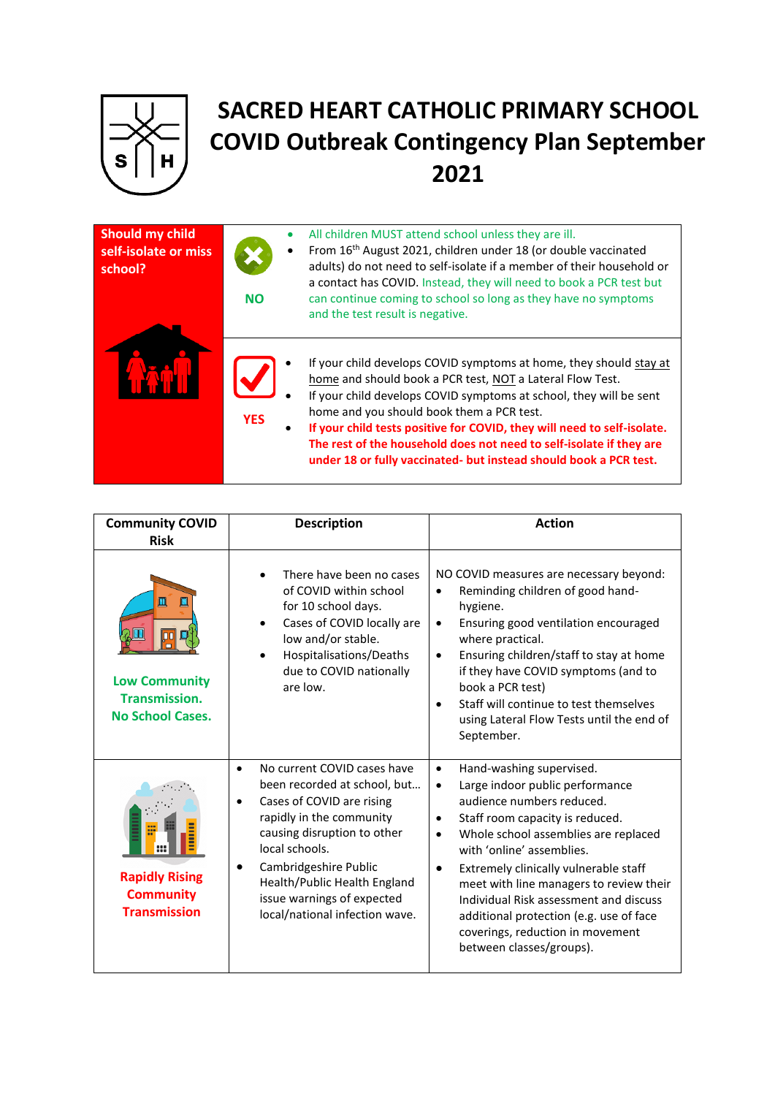

## **SACRED HEART CATHOLIC PRIMARY SCHOOL COVID Outbreak Contingency Plan September 2021**

| Should my child<br>self-isolate or miss<br>school? | <b>NO</b>  | All children MUST attend school unless they are ill.<br>From 16 <sup>th</sup> August 2021, children under 18 (or double vaccinated<br>adults) do not need to self-isolate if a member of their household or<br>a contact has COVID. Instead, they will need to book a PCR test but<br>can continue coming to school so long as they have no symptoms<br>and the test result is negative.                                                                                  |
|----------------------------------------------------|------------|---------------------------------------------------------------------------------------------------------------------------------------------------------------------------------------------------------------------------------------------------------------------------------------------------------------------------------------------------------------------------------------------------------------------------------------------------------------------------|
|                                                    | <b>YES</b> | If your child develops COVID symptoms at home, they should stay at<br>home and should book a PCR test, NOT a Lateral Flow Test.<br>If your child develops COVID symptoms at school, they will be sent<br>home and you should book them a PCR test.<br>If your child tests positive for COVID, they will need to self-isolate.<br>The rest of the household does not need to self-isolate if they are<br>under 18 or fully vaccinated- but instead should book a PCR test. |

| <b>Community COVID</b><br><b>Risk</b>                                                   | <b>Description</b>                                                                                                                                                                                                                                                                                                                    | <b>Action</b>                                                                                                                                                                                                                                                                                                                                                                                                                                                                                              |
|-----------------------------------------------------------------------------------------|---------------------------------------------------------------------------------------------------------------------------------------------------------------------------------------------------------------------------------------------------------------------------------------------------------------------------------------|------------------------------------------------------------------------------------------------------------------------------------------------------------------------------------------------------------------------------------------------------------------------------------------------------------------------------------------------------------------------------------------------------------------------------------------------------------------------------------------------------------|
| Ш<br>Ш<br>00<br><b>Low Community</b><br><b>Transmission.</b><br><b>No School Cases.</b> | There have been no cases<br>of COVID within school<br>for 10 school days.<br>Cases of COVID locally are<br>$\bullet$<br>low and/or stable.<br>Hospitalisations/Deaths<br>$\bullet$<br>due to COVID nationally<br>are low.                                                                                                             | NO COVID measures are necessary beyond:<br>Reminding children of good hand-<br>$\bullet$<br>hygiene.<br>Ensuring good ventilation encouraged<br>$\bullet$<br>where practical.<br>Ensuring children/staff to stay at home<br>$\bullet$<br>if they have COVID symptoms (and to<br>book a PCR test)<br>Staff will continue to test themselves<br>$\bullet$<br>using Lateral Flow Tests until the end of<br>September.                                                                                         |
| <b>Rapidly Rising</b><br><b>Community</b><br><b>Transmission</b>                        | No current COVID cases have<br>$\bullet$<br>been recorded at school, but<br>Cases of COVID are rising<br>$\bullet$<br>rapidly in the community<br>causing disruption to other<br>local schools.<br>Cambridgeshire Public<br>$\bullet$<br>Health/Public Health England<br>issue warnings of expected<br>local/national infection wave. | Hand-washing supervised.<br>$\bullet$<br>Large indoor public performance<br>$\bullet$<br>audience numbers reduced.<br>Staff room capacity is reduced.<br>$\bullet$<br>Whole school assemblies are replaced<br>$\bullet$<br>with 'online' assemblies.<br>Extremely clinically vulnerable staff<br>$\bullet$<br>meet with line managers to review their<br>Individual Risk assessment and discuss<br>additional protection (e.g. use of face<br>coverings, reduction in movement<br>between classes/groups). |